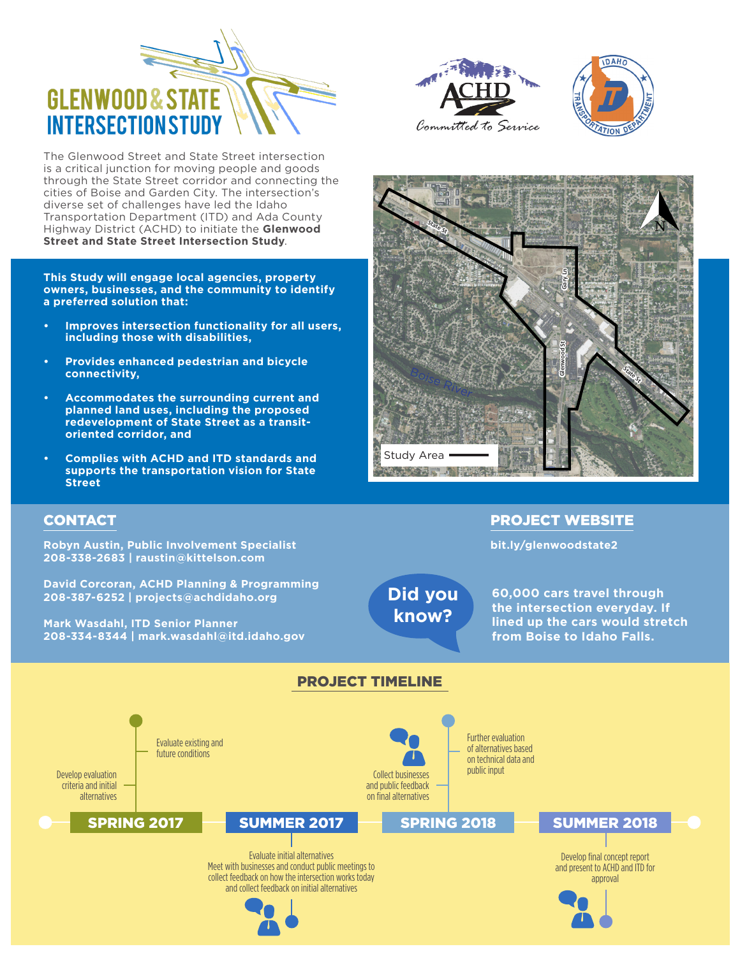

The Glenwood Street and State Street intersection is a critical junction for moving people and goods through the State Street corridor and connecting the cities of Boise and Garden City. The intersection's diverse set of challenges have led the Idaho Transportation Department (ITD) and Ada County Highway District (ACHD) to initiate the **Glenwood Street and State Street Intersection Study**.

**This Study will engage local agencies, property owners, businesses, and the community to identify a preferred solution that:**

- **• Improves intersection functionality for all users, including those with disabilities,**
- **• Provides enhanced pedestrian and bicycle connectivity,**
- **• Accommodates the surrounding current and planned land uses, including the proposed redevelopment of State Street as a transitoriented corridor, and**
- **• Complies with ACHD and ITD standards and supports the transportation vision for State Street**

**Robyn Austin, Public Involvement Specialist 208-338-2683 | raustin@kittelson.com**

**208-387-6252 | projects@achdidaho.org**

**Mark Wasdahl, ITD Senior Planner**

**David Corcoran, ACHD Planning & Programming**

**208-334-8344 | mark.wasdahl@itd.idaho.gov**







## CONTACT PROJECT WEBSITE

**bit.ly/glenwoodstate2**

**Did you know?**

**60,000 cars travel through the intersection everyday. If lined up the cars would stretch from Boise to Idaho Falls.**